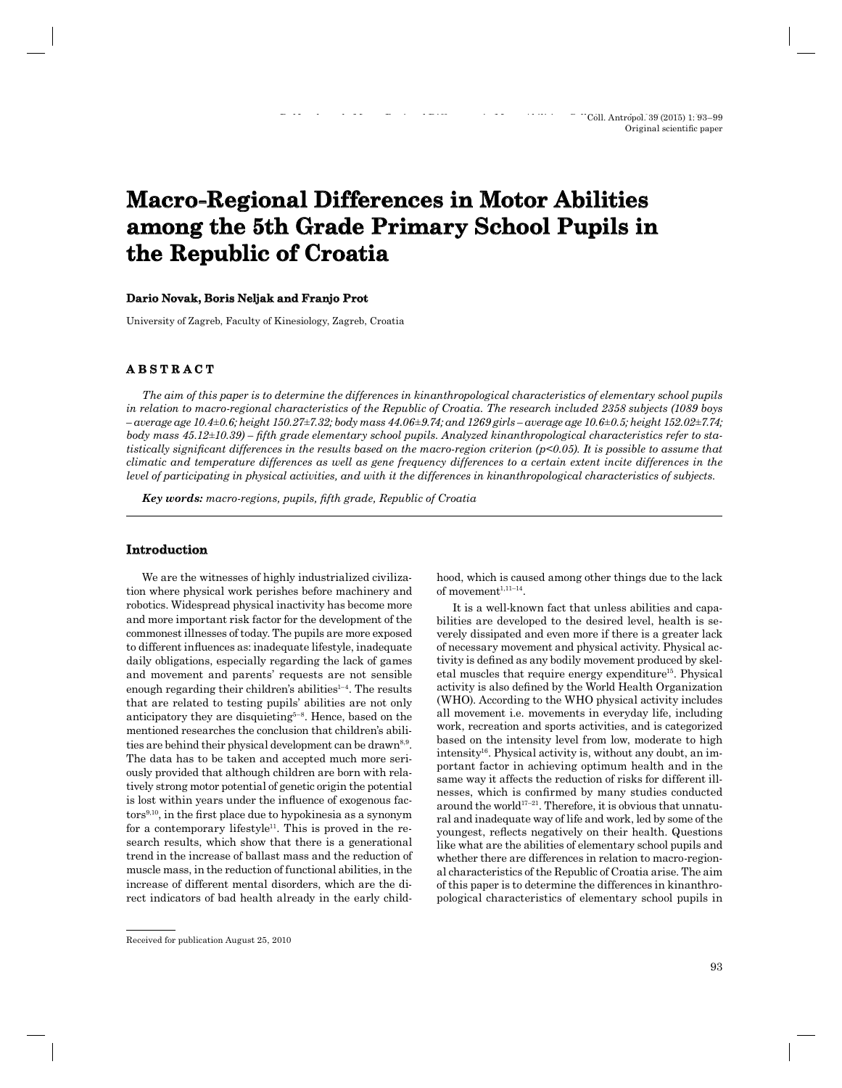# **Macro-Regional Differences in Motor Abilities** among the 5th Grade Primary School Pupils in **the Republic of Croatia**

## **Dario Novak, Boris Neljak and Franjo Prot ario**

University of Zagreb, Faculty of Kinesiology, Zagreb, Croatia

# **ABSTRACT B S T R A C T**

*The aim of this paper is to determine the differences in kinanthropological characteristics of elementary school pupils in relation to macro-regional characteristics of the Republic of Croatia. The research included 2358 subjects (1089 boys – average age 10.4±0.6; height 150.27±7.32; body mass 44.06±9.74; and 1269 girls – average age 10.6±0.5; height 152.02±7.74; body mass 45.12±10.39) – fifth grade elementary school pupils. Analyzed kinanthropological characteristics refer to statistically significant differences in the results based on the macro-region criterion (p<0.05). It is possible to assume that climatic and temperature differences as well as gene frequency differences to a certain extent incite differences in the level of participating in physical activities, and with it the differences in kinanthropological characteristics of subjects.*

*Key words: macro-regions, pupils, fifth grade, Republic of Croatia* 

## **Introduction ntroduction**

We are the witnesses of highly industrialized civilization where physical work perishes before machinery and robotics. Widespread physical inactivity has become more and more important risk factor for the development of the commonest illnesses of today. The pupils are more exposed to different influences as: inadequate lifestyle, inadequate daily obligations, especially regarding the lack of games and movement and parents' requests are not sensible enough regarding their children's abilities $1-4$ . The results that are related to testing pupils' abilities are not only anticipatory they are disquieting5–8. Hence, based on the mentioned researches the conclusion that children's abilities are behind their physical development can be drawn<sup>8,9</sup>. The data has to be taken and accepted much more seriously provided that although children are born with relatively strong motor potential of genetic origin the potential is lost within years under the influence of exogenous fac $tors<sup>9,10</sup>$ , in the first place due to hypokinesia as a synonym for a contemporary lifestyle<sup>11</sup>. This is proved in the research results, which show that there is a generational trend in the increase of ballast mass and the reduction of muscle mass, in the reduction of functional abilities, in the increase of different mental disorders, which are the direct indicators of bad health already in the early childhood, which is caused among other things due to the lack of movement<sup>1,11-14</sup>.

It is a well-known fact that unless abilities and capabilities are developed to the desired level, health is severely dissipated and even more if there is a greater lack of necessary movement and physical activity. Physical activity is defined as any bodily movement produced by skeletal muscles that require energy expenditure<sup>15</sup>. Physical activity is also defined by the World Health Organization (WHO). According to the WHO physical activity includes all movement i.e. movements in everyday life, including work, recreation and sports activities, and is categorized based on the intensity level from low, moderate to high intensity<sup>16</sup>. Physical activity is, without any doubt, an important factor in achieving optimum health and in the same way it affects the reduction of risks for different illnesses, which is confirmed by many studies conducted around the world $17-21$ . Therefore, it is obvious that unnatural and inadequate way of life and work, led by some of the youngest, reflects negatively on their health. Questions like what are the abilities of elementary school pupils and whether there are differences in relation to macro-regional characteristics of the Republic of Croatia arise. The aim of this paper is to determine the differences in kinanthropological characteristics of elementary school pupils in

Received for publication August 25, 2010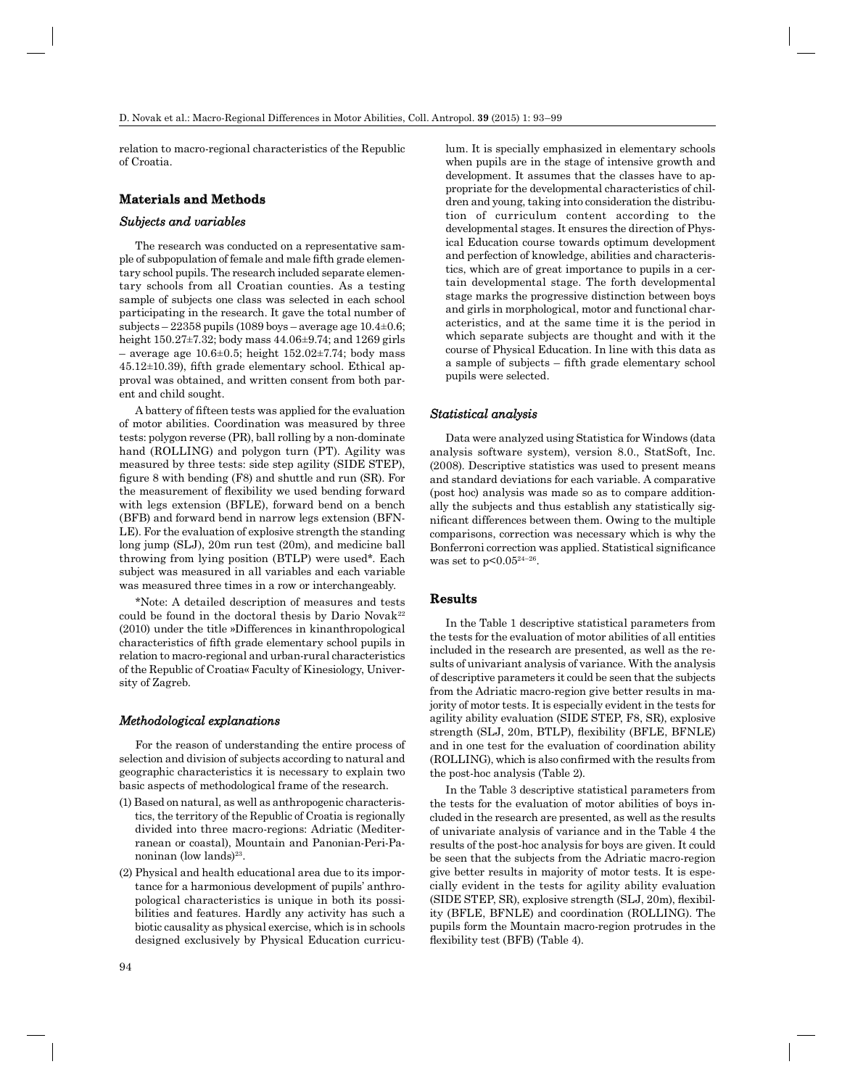relation to macro-regional characteristics of the Republic of Croatia.

## **Materials and Methods aterials and**

#### *Subjects and variables ubjects*

The research was conducted on a representative sample of subpopulation of female and male fifth grade elementary school pupils. The research included separate elementary schools from all Croatian counties. As a testing sample of subjects one class was selected in each school participating in the research. It gave the total number of subjects – 22358 pupils (1089 boys – average age 10.4 $\pm$ 0.6; height 150.27±7.32; body mass 44.06±9.74; and 1269 girls – average age  $10.6\pm0.5$ ; height  $152.02\pm7.74$ ; body mass  $45.12\pm10.39$ ), fifth grade elementary school. Ethical approval was obtained, and written consent from both parent and child sought.

A battery of fifteen tests was applied for the evaluation of motor abilities. Coordination was measured by three tests: polygon reverse (PR), ball rolling by a non-dominate hand (ROLLING) and polygon turn (PT). Agility was measured by three tests: side step agility (SIDE STEP), figure 8 with bending  $(F8)$  and shuttle and run  $(SR)$ . For the measurement of flexibility we used bending forward with legs extension (BFLE), forward bend on a bench (BFB) and forward bend in narrow legs extension (BFN-LE). For the evaluation of explosive strength the standing long jump (SLJ), 20m run test (20m), and medicine ball throwing from lying position (BTLP) were used\*. Each subject was measured in all variables and each variable was measured three times in a row or interchangeably.

\*Note: A detailed description of measures and tests could be found in the doctoral thesis by Dario Novak<sup>22</sup> (2010) under the title »Differences in kinanthropological characteristics of fifth grade elementary school pupils in relation to macro-regional and urban-rural characteristics of the Republic of Croatia« Faculty of Kinesiology, University of Zagreb.

#### *Methodological explanations ethodological*

For the reason of understanding the entire process of selection and division of subjects according to natural and geographic characteristics it is necessary to explain two basic aspects of methodological frame of the research.

- (1) Based on natural, as well as anthropogenic characteristics, the territory of the Republic of Croatia is regionally divided into three macro-regions: Adriatic (Mediterranean or coastal), Mountain and Panonian-Peri -Panoninan (low lands)<sup>23</sup>.
- (2) Physical and health educational area due to its importance for a harmonious development of pupils' anthropological characteristics is unique in both its possibilities and features. Hardly any activity has such a biotic causality as physical exercise, which is in schools designed exclusively by Physical Education curricu-

lum. It is specially emphasized in elementary schools when pupils are in the stage of intensive growth and development. It assumes that the classes have to appropriate for the developmental characteristics of children and young, taking into consideration the distribution of curriculum content according to the developmental stages. It ensures the direction of Physical Education course towards optimum development and perfection of knowledge, abilities and characteristics, which are of great importance to pupils in a certain developmental stage. The forth developmental stage marks the progressive distinction between boys and girls in morphological, motor and functional characteristics, and at the same time it is the period in which separate subjects are thought and with it the course of Physical Education. In line with this data as a sample of subjects – fifth grade elementary school pupils were selected.

### *Statistical analysis tatistical*

Data were analyzed using Statistica for Windows (data analysis software system), version 8.0., StatSoft, Inc. (2008). Descriptive statistics was used to present means and standard deviations for each variable. A comparative (post hoc) analysis was made so as to compare additionally the subjects and thus establish any statistically significant differences between them. Owing to the multiple comparisons, correction was necessary which is why the Bonferroni correction was applied. Statistical significance was set to  $p<0.05^{24-26}$ .

#### **Results**

In the Table 1 descriptive statistical parameters from the tests for the evaluation of motor abilities of all entities included in the research are presented, as well as the results of univariant analysis of variance. With the analysis of descriptive parameters it could be seen that the subjects from the Adriatic macro-region give better results in majority of motor tests. It is especially evident in the tests for agility ability evaluation (SIDE STEP, F8, SR), explosive strength (SLJ, 20m, BTLP), flexibility (BFLE, BFNLE) and in one test for the evaluation of coordination ability (ROLLING), which is also confirmed with the results from the post-hoc analysis (Table 2).

In the Table 3 descriptive statistical parameters from the tests for the evaluation of motor abilities of boys included in the research are presented, as well as the results of univariate analysis of variance and in the Table 4 the results of the post-hoc analysis for boys are given. It could be seen that the subjects from the Adriatic macro-region give better results in majority of motor tests. It is especially evident in the tests for agility ability evaluation  $(SIDE STEP, SR)$ , explosive strength  $(SLJ, 20m)$ , flexibility (BFLE, BFNLE) and coordination (ROLLING). The pupils form the Mountain macro-region protrudes in the flexibility test (BFB) (Table 4).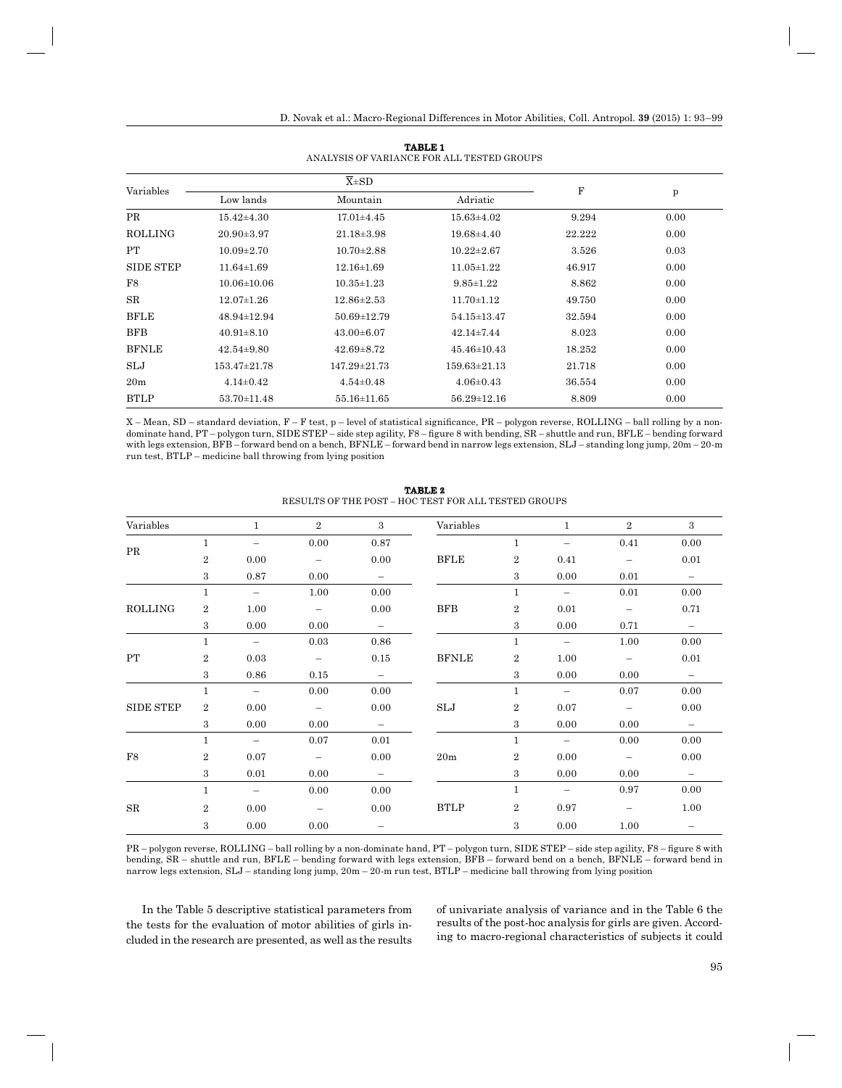| Variables       |                   | $\overline{X} \pm SD$ |                    |        |              |
|-----------------|-------------------|-----------------------|--------------------|--------|--------------|
|                 | Low lands         | Mountain              | Adriatic           | F      | $\mathbf{p}$ |
| <b>PR</b>       | $15.42{\pm}4.30$  | $17.01\pm4.45$        | $15.63\pm4.02$     | 9.294  | 0.00         |
| <b>ROLLING</b>  | $20.90 \pm 3.97$  | $21.18 \pm 3.98$      | $19.68{\pm}4.40$   | 22.222 | 0.00         |
| PT              | $10.09 \pm 2.70$  | $10.70 \pm 2.88$      | $10.22 \pm 2.67$   | 3.526  | 0.03         |
| SIDE STEP       | $11.64 \pm 1.69$  | $12.16 \pm 1.69$      | $11.05 \pm 1.22$   | 46.917 | 0.00         |
| F8              | $10.06 \pm 10.06$ | $10.35 \pm 1.23$      | $9.85 \pm 1.22$    | 8.862  | 0.00         |
| SR              | $12.07 \pm 1.26$  | $12.86 \pm 2.53$      | $11.70 \pm 1.12$   | 49.750 | 0.00         |
| <b>BFLE</b>     | 48.94±12.94       | $50.69 \pm 12.79$     | 54.15±13.47        | 32.594 | 0.00         |
| <b>BFB</b>      | $40.91 \pm 8.10$  | $43.00\pm 6.07$       | $42.14 \pm 7.44$   | 8.023  | 0.00         |
| <b>BFNLE</b>    | $42.54 \pm 9.80$  | $42.69 \pm 8.72$      | $45.46 \pm 10.43$  | 18.252 | 0.00         |
| SLJ             | 153.47±21.78      | $147.29 \pm 21.73$    | $159.63 \pm 21.13$ | 21.718 | 0.00         |
| 20 <sub>m</sub> | $4.14\pm0.42$     | $4.54 \pm 0.48$       | $4.06 \pm 0.43$    | 36.554 | 0.00         |
| <b>BTLP</b>     | $53.70 \pm 11.48$ | 55.16±11.65           | $56.29 \pm 12.16$  | 8.809  | 0.00         |

**TABLE 1** ANALYSIS OF VARIANCE FOR ALL TESTED GROUPS

X – Mean, SD – standard deviation, F – F test, p – level of statistical significance, PR – polygon reverse, ROLLING – ball rolling by a nondominate hand, PT – polygon turn, SIDE STEP – side step agility, F8 – figure 8 with bending, SR – shuttle and run, BFLE – bending forward with legs extension, BFB – forward bend on a bench, BFNLE – forward bend in narrow legs extension, SLJ – standing long jump, 20m – 20-m run test, BTLP – medicine ball throwing from lying position

| Variables        |                  | $\mathbf{1}$             | $\overline{2}$           | $\overline{3}$           | Variables            |                  | $\mathbf{1}$             | $\overline{2}$           | 3                        |
|------------------|------------------|--------------------------|--------------------------|--------------------------|----------------------|------------------|--------------------------|--------------------------|--------------------------|
|                  | $\mathbf{1}$     | $\overline{\phantom{0}}$ | 0.00                     | 0.87                     |                      | $\mathbf{1}$     | $\qquad \qquad -$        | 0.41                     | 0.00                     |
| $\rm PR$         | $\overline{2}$   | 0.00                     | $\overline{\phantom{0}}$ | 0.00                     | <b>BFLE</b>          | 2                | 0.41                     | $\overline{\phantom{m}}$ | 0.01                     |
|                  | 3                | 0.87                     | 0.00                     | $\overline{\phantom{a}}$ |                      | 3                | 0.00                     | 0.01                     | $\overline{\phantom{a}}$ |
|                  | $\mathbf{1}$     | $\overline{\phantom{m}}$ | 1.00                     | 0.00                     |                      | $\mathbf{1}$     | $\overline{\phantom{m}}$ | 0.01                     | 0.00                     |
| ROLLING          | $\overline{2}$   | 1.00                     | $\overline{\phantom{0}}$ | 0.00                     | <b>BFB</b>           | $\boldsymbol{2}$ | 0.01                     | $\overline{\phantom{m}}$ | 0.71                     |
|                  | 3                | 0.00                     | 0.00                     | $\overline{\phantom{m}}$ |                      | 3                | 0.00                     | 0.71                     | $\overline{\phantom{m}}$ |
| PT               | $\mathbf{1}$     | $\overline{\phantom{m}}$ | 0.03                     | 0.86                     |                      | $\mathbf{1}$     | $\overline{\phantom{m}}$ | 1.00                     | 0.00                     |
|                  | $\overline{2}$   | 0.03                     | $\overline{\phantom{m}}$ | 0.15                     | <b>BFNLE</b>         | $\boldsymbol{2}$ | 1.00                     | $\overline{\phantom{a}}$ | 0.01                     |
|                  | 3                | 0.86                     | 0.15                     | $\overline{\phantom{m}}$ |                      | 3                | 0.00                     | 0.00                     | $\overline{\phantom{m}}$ |
|                  | $\mathbf{1}$     | $\overline{\phantom{m}}$ | 0.00                     | 0.00                     |                      | $\mathbf{1}$     | $\overline{\phantom{m}}$ | 0.07                     | 0.00                     |
| <b>SIDE STEP</b> | $\boldsymbol{2}$ | 0.00                     | $\overline{\phantom{0}}$ | 0.00                     | $\operatorname{SLJ}$ | 2                | 0.07                     | $\overline{\phantom{m}}$ | 0.00                     |
|                  | 3                | 0.00                     | 0.00                     | $\overline{\phantom{m}}$ |                      | 3                | 0.00                     | 0.00                     | $\overline{\phantom{m}}$ |
|                  | $\mathbf{1}$     | $\overline{\phantom{0}}$ | 0.07                     | 0.01                     |                      | $\mathbf{1}$     | $\overline{\phantom{m}}$ | 0.00                     | 0.00                     |
| ${\rm F}8$       | 2                | 0.07                     | $\overline{\phantom{m}}$ | 0.00                     | 20m                  | $\boldsymbol{2}$ | 0.00                     | $\overline{\phantom{m}}$ | 0.00                     |
|                  | 3                | 0.01                     | 0.00                     | $-$                      |                      | 3                | 0.00                     | 0.00                     | $\overline{\phantom{m}}$ |
|                  | $\mathbf{1}$     | $\overline{\phantom{m}}$ | 0.00                     | 0.00                     |                      | $\mathbf{1}$     | $\overline{\phantom{m}}$ | 0.97                     | 0.00                     |
| SR               | $\overline{2}$   | 0.00                     | $\overline{\phantom{m}}$ | 0.00                     | <b>BTLP</b>          | $\overline{2}$   | 0.97                     | $\overline{\phantom{0}}$ | 1.00                     |
|                  | 3                | 0.00                     | 0.00                     | $\overline{\phantom{m}}$ |                      | 3                | 0.00                     | 1.00                     |                          |

**TABLE 2** RESULTS OF THE POST – HOC TEST FOR ALL TESTED GROUPS

PR – polygon reverse, ROLLING – ball rolling by a non-dominate hand, PT – polygon turn, SIDE STEP – side step agility, F8 – figure 8 with bending, SR – shuttle and run, BFLE – bending forward with legs extension, BFB – forward bend on a bench, BFNLE – forward bend in narrow legs extension, SLJ – standing long jump, 20m – 20-m run test, BTLP – medicine ball throwing from lying position

In the Table 5 descriptive statistical parameters from the tests for the evaluation of motor abilities of girls included in the research are presented, as well as the results of univariate analysis of variance and in the Table 6 the results of the post-hoc analysis for girls are given. According to macro-regional characteristics of subjects it could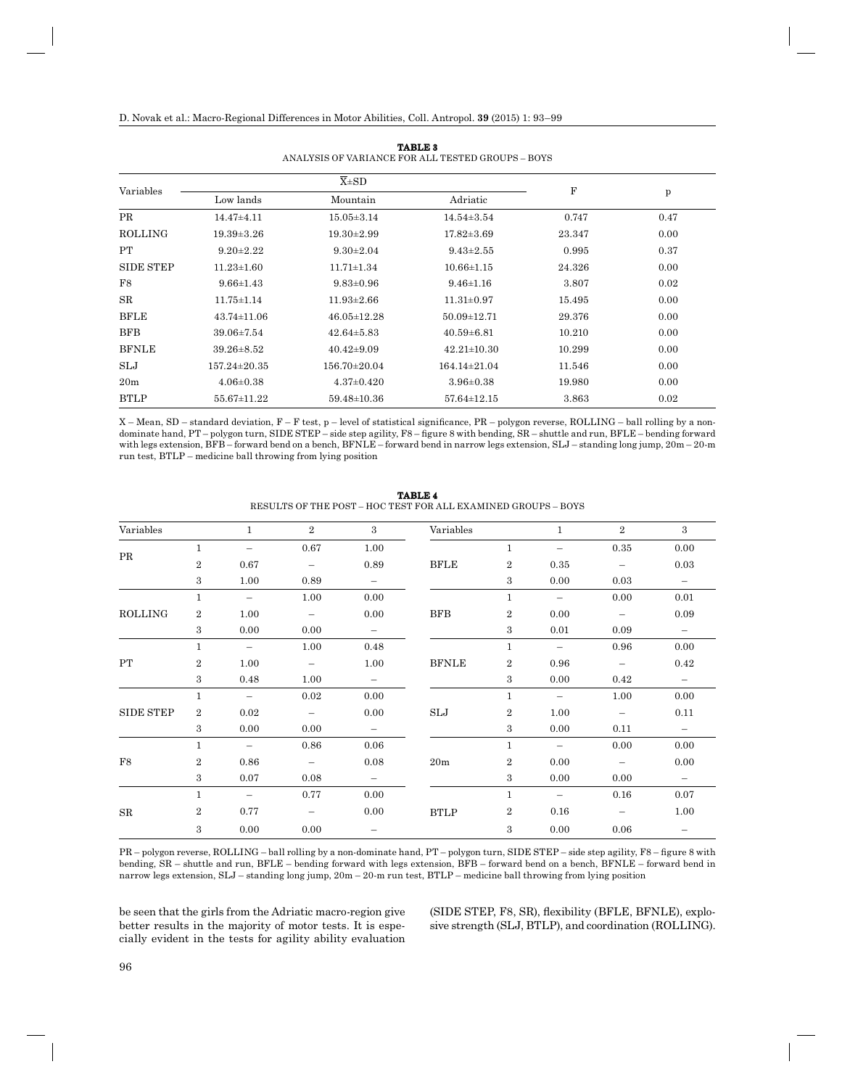| Variables        |                    | $\overline{X} \pm SD$ |                   |             |              |  |
|------------------|--------------------|-----------------------|-------------------|-------------|--------------|--|
|                  | Low lands          | Mountain              | Adriatic          | $\mathbf F$ | $\mathbf{p}$ |  |
| <b>PR</b>        | $14.47{\pm}4.11$   | $15.05 \pm 3.14$      | $14.54 \pm 3.54$  | 0.747       | 0.47         |  |
| <b>ROLLING</b>   | $19.39 \pm 3.26$   | $19.30 \pm 2.99$      | $17.82 \pm 3.69$  | 23.347      | 0.00         |  |
| PT               | $9.20 \pm 2.22$    | $9.30 \pm 2.04$       | $9.43 \pm 2.55$   | 0.995       | 0.37         |  |
| <b>SIDE STEP</b> | $11.23 \pm 1.60$   | $11.71 \pm 1.34$      | $10.66 \pm 1.15$  | 24.326      | 0.00         |  |
| F8               | $9.66 \pm 1.43$    | $9.83 \pm 0.96$       | $9.46 \pm 1.16$   | 3.807       | 0.02         |  |
| SR               | $11.75 \pm 1.14$   | $11.93 \pm 2.66$      | $11.31 \pm 0.97$  | 15.495      | 0.00         |  |
| <b>BFLE</b>      | $43.74 \pm 11.06$  | $46.05 \pm 12.28$     | $50.09 \pm 12.71$ | 29.376      | 0.00         |  |
| <b>BFB</b>       | $39.06 \pm 7.54$   | $42.64 \pm 5.83$      | $40.59 \pm 6.81$  | 10.210      | 0.00         |  |
| <b>BFNLE</b>     | $39.26 \pm 8.52$   | $40.42 \pm 9.09$      | $42.21 \pm 10.30$ | 10.299      | 0.00         |  |
| SLJ              | $157.24 \pm 20.35$ | $156.70 \pm 20.04$    | $164.14\pm21.04$  | 11.546      | 0.00         |  |
| 20 <sub>m</sub>  | $4.06 \pm 0.38$    | $4.37 \pm 0.420$      | $3.96 \pm 0.38$   | 19.980      | 0.00         |  |
| <b>BTLP</b>      | 55.67±11.22        | 59.48±10.36           | $57.64 \pm 12.15$ | 3.863       | 0.02         |  |

**TABLE 3** ANALYSIS OF VARIANCE FOR ALL TESTED GROUPS – BOYS

X – Mean, SD – standard deviation, F – F test, p – level of statistical significance, PR – polygon reverse, ROLLING – ball rolling by a nondominate hand, PT – polygon turn, SIDE STEP – side step agility, F8 – figure 8 with bending, SR – shuttle and run, BFLE – bending forward with legs extension, BFB – forward bend on a bench, BFNLE – forward bend in narrow legs extension, SLJ – standing long jump, 20m – 20-m

| RESULTS OF THE POST – HOC TEST FOR ALL EXAMINED GROUPS – BOYS |                |                          |                          |                          |              |                  |                          |                          |                          |
|---------------------------------------------------------------|----------------|--------------------------|--------------------------|--------------------------|--------------|------------------|--------------------------|--------------------------|--------------------------|
| Variables                                                     |                | $\mathbf{1}$             | $\overline{2}$           | 3                        | Variables    |                  | $\mathbf{1}$             | 2                        | 3                        |
| PR                                                            | $\mathbf{1}$   |                          | 0.67                     | 1.00                     |              | $\mathbf{1}$     | $\overline{\phantom{0}}$ | 0.35                     | 0.00                     |
|                                                               | $\overline{2}$ | 0.67                     | $\overline{\phantom{m}}$ | 0.89                     | <b>BFLE</b>  | $\boldsymbol{2}$ | 0.35                     | $\overline{\phantom{m}}$ | 0.03                     |
|                                                               | 3              | 1.00                     | 0.89                     | $\overline{\phantom{m}}$ |              | 3                | 0.00                     | 0.03                     | $\qquad \qquad -$        |
|                                                               | $\mathbf{1}$   | $\overline{\phantom{0}}$ | 1.00                     | 0.00                     |              | $\mathbf{1}$     | $\overline{\phantom{0}}$ | 0.00                     | 0.01                     |
| <b>ROLLING</b>                                                | $\overline{2}$ | 1.00                     | $\overline{\phantom{m}}$ | 0.00                     | <b>BFB</b>   | $\overline{2}$   | 0.00                     | $\overline{\phantom{m}}$ | 0.09                     |
|                                                               | 3              | 0.00                     | 0.00                     | $ \,$                    |              | 3                | 0.01                     | 0.09                     | $\overline{\phantom{m}}$ |
|                                                               | $\mathbf{1}$   | $\overline{\phantom{m}}$ | 1.00                     | 0.48                     |              | $\mathbf{1}$     | $\overline{\phantom{m}}$ | 0.96                     | 0.00                     |
| PT                                                            | $\overline{2}$ | 1.00                     | $\overline{\phantom{m}}$ | 1.00                     | <b>BFNLE</b> | $\overline{2}$   | 0.96                     | $\overline{\phantom{m}}$ | 0.42                     |
|                                                               | 3              | 0.48                     | 1.00                     | $-$                      |              | 3                | 0.00                     | 0.42                     | -                        |
|                                                               | $\mathbf{1}$   | $\equiv$                 | 0.02                     | 0.00                     |              | $\mathbf{1}$     | $\overline{\phantom{m}}$ | 1.00                     | 0.00                     |
| <b>SIDE STEP</b>                                              | $\overline{2}$ | 0.02                     | $\overline{\phantom{m}}$ | 0.00                     | SLJ          | $\overline{2}$   | 1.00                     | $\overline{\phantom{m}}$ | 0.11                     |
|                                                               | 3              | 0.00                     | 0.00                     | $\overline{\phantom{a}}$ |              | 3                | 0.00                     | 0.11                     | $\overline{\phantom{m}}$ |
|                                                               | $\mathbf{1}$   | $\overline{\phantom{m}}$ | 0.86                     | 0.06                     |              | $\mathbf{1}$     | $\overline{\phantom{m}}$ | 0.00                     | 0.00                     |
| F8                                                            | $\overline{2}$ | 0.86                     | $\overline{\phantom{m}}$ | 0.08                     | 20m          | $\overline{2}$   | 0.00                     | $\overline{\phantom{m}}$ | 0.00                     |
|                                                               | 3              | 0.07                     | 0.08                     | $\overline{\phantom{m}}$ |              | 3                | 0.00                     | 0.00                     | $\overline{\phantom{m}}$ |
|                                                               | $\mathbf{1}$   | $\overline{\phantom{m}}$ | 0.77                     | 0.00                     |              | $\mathbf{1}$     | $\overline{\phantom{m}}$ | 0.16                     | 0.07                     |
| $_{\rm SR}$                                                   | $\overline{2}$ | 0.77                     | $\overline{\phantom{m}}$ | 0.00                     | <b>BTLP</b>  | $\overline{2}$   | 0.16                     | $\overline{\phantom{m}}$ | 1.00                     |
|                                                               | 3              | 0.00                     | 0.00                     |                          |              | 3                | 0.00                     | 0.06                     |                          |

**TABLE 4**

PR – polygon reverse, ROLLING – ball rolling by a non-dominate hand, PT – polygon turn, SIDE STEP – side step agility, F8 – figure 8 with bending, SR – shuttle and run, BFLE – bending forward with legs extension, BFB – forward bend on a bench, BFNLE – forward bend in narrow legs extension, SLJ – standing long jump, 20m – 20-m run test, BTLP – medicine ball throwing from lying position

be seen that the girls from the Adriatic macro-region give better results in the majority of motor tests. It is especially evident in the tests for agility ability evaluation

run test, BTLP – medicine ball throwing from lying position

(SIDE STEP, F8, SR), flexibility (BFLE, BFNLE), explosive strength (SLJ, BTLP), and coordination (ROLLING).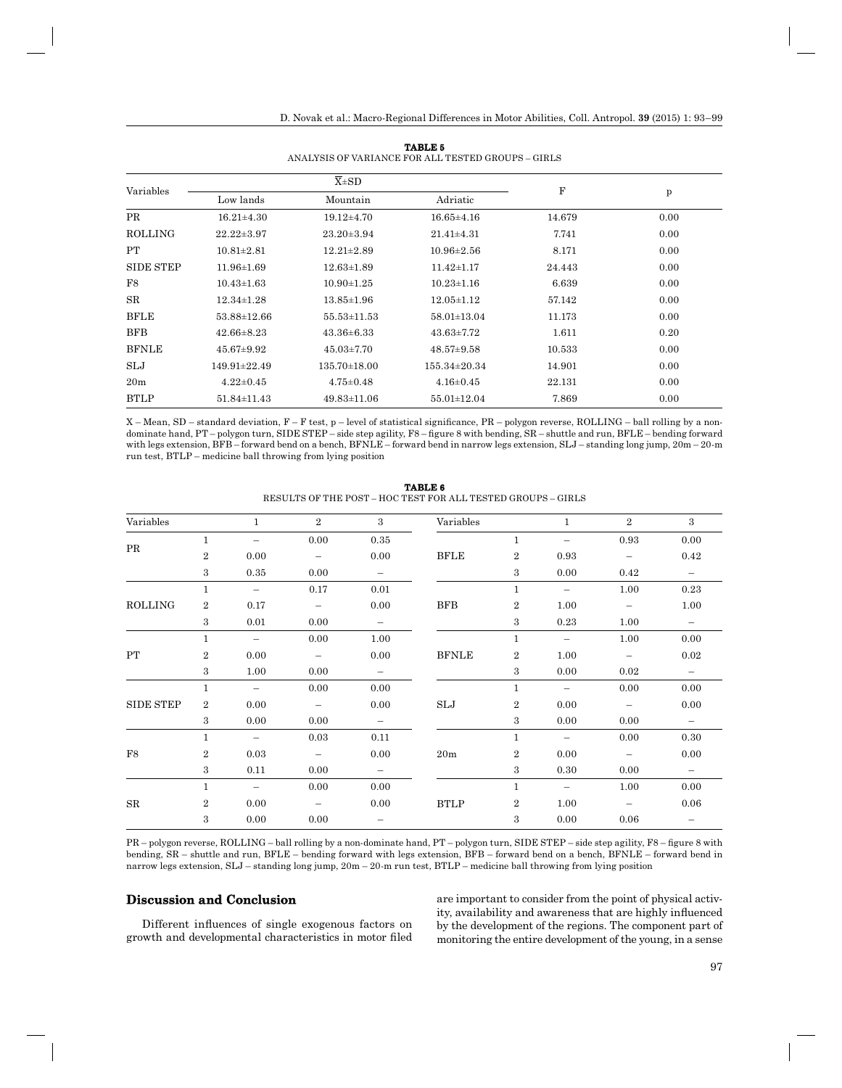| Variables       |                    | $\overline{X} \pm SD$ |                    |        |              |
|-----------------|--------------------|-----------------------|--------------------|--------|--------------|
|                 | Low lands          | Mountain              | Adriatic           | F      | $\mathbf{p}$ |
| PR              | $16.21 \pm 4.30$   | $19.12 \pm 4.70$      | $16.65 \pm 4.16$   | 14.679 | 0.00         |
| <b>ROLLING</b>  | $22.22 \pm 3.97$   | $23.20 \pm 3.94$      | $21.41 \pm 4.31$   | 7.741  | 0.00         |
| PT              | $10.81 \pm 2.81$   | $12.21 \pm 2.89$      | $10.96 \pm 2.56$   | 8.171  | 0.00         |
| SIDE STEP       | $11.96 \pm 1.69$   | $12.63 \pm 1.89$      | $11.42 \pm 1.17$   | 24.443 | 0.00         |
| F8              | $10.43 \pm 1.63$   | $10.90 \pm 1.25$      | $10.23 \pm 1.16$   | 6.639  | 0.00         |
| SR              | $12.34 \pm 1.28$   | $13.85 \pm 1.96$      | $12.05 \pm 1.12$   | 57.142 | 0.00         |
| <b>BFLE</b>     | 53.88±12.66        | 55.53±11.53           | 58.01±13.04        | 11.173 | 0.00         |
| <b>BFB</b>      | $42.66 \pm 8.23$   | $43.36 \pm 6.33$      | $43.63 \pm 7.72$   | 1.611  | 0.20         |
| <b>BFNLE</b>    | $45.67 \pm 9.92$   | $45.03 \pm 7.70$      | $48.57 \pm 9.58$   | 10.533 | 0.00         |
| SLJ             | $149.91 \pm 22.49$ | $135.70 \pm 18.00$    | $155.34 \pm 20.34$ | 14.901 | 0.00         |
| 20 <sub>m</sub> | $4.22 \pm 0.45$    | $4.75 \pm 0.48$       | $4.16 \pm 0.45$    | 22.131 | 0.00         |
| <b>BTLP</b>     | $51.84 \pm 11.43$  | $49.83 \pm 11.06$     | 55.01±12.04        | 7.869  | 0.00         |

**TABLE 5** ANALYSIS OF VARIANCE FOR ALL TESTED GROUPS – GIRLS

X – Mean, SD – standard deviation, F – F test, p – level of statistical significance, PR – polygon reverse, ROLLING – ball rolling by a nondominate hand, PT – polygon turn, SIDE STEP – side step agility, F8 – figure 8 with bending, SR – shuttle and run, BFLE – bending forward with legs extension, BFB – forward bend on a bench, BFNLE – forward bend in narrow legs extension, SLJ – standing long jump, 20m – 20-m run test, BTLP – medicine ball throwing from lying position

| Variables        |                | $\mathbf{1}$             | $\overline{2}$           | 3                        | Variables            |                | $\mathbf{1}$             | $\overline{2}$           | 3                        |
|------------------|----------------|--------------------------|--------------------------|--------------------------|----------------------|----------------|--------------------------|--------------------------|--------------------------|
|                  | $\mathbf{1}$   | $\overline{\phantom{m}}$ | 0.00                     | $\rm 0.35$               |                      | $\mathbf{1}$   | $\overline{\phantom{m}}$ | 0.93                     | 0.00                     |
| $\rm PR$         | $\overline{2}$ | 0.00                     | $\overline{\phantom{m}}$ | 0.00                     | <b>BFLE</b>          | $\overline{2}$ | 0.93                     | $\overline{\phantom{a}}$ | 0.42                     |
|                  | 3              | 0.35                     | 0.00                     | $\overline{\phantom{m}}$ |                      | 3              | 0.00                     | 0.42                     | $\overline{\phantom{m}}$ |
|                  | $\mathbf{1}$   | $\overline{\phantom{m}}$ | 0.17                     | 0.01                     |                      | $\mathbf{1}$   | $\overline{\phantom{m}}$ | 1.00                     | 0.23                     |
| <b>ROLLING</b>   | $\overline{2}$ | 0.17                     | $\overline{\phantom{m}}$ | 0.00                     | <b>BFB</b>           | 2              | 1.00                     | $\overline{\phantom{m}}$ | 1.00                     |
|                  | 3              | 0.01                     | 0.00                     | $\overline{\phantom{m}}$ |                      | 3              | 0.23                     | 1.00                     | $\overline{\phantom{m}}$ |
|                  | $\mathbf{1}$   | $\overline{\phantom{m}}$ | 0.00                     | 1.00                     |                      | $\mathbf{1}$   | $\overline{\phantom{m}}$ | 1.00                     | 0.00                     |
| PT               | $\overline{2}$ | 0.00                     | $\overline{\phantom{m}}$ | 0.00                     | <b>BFNLE</b>         | 2              | 1.00                     | $\overline{\phantom{m}}$ | 0.02                     |
|                  | 3              | 1.00                     | 0.00                     | $\overline{\phantom{m}}$ |                      | 3              | 0.00                     | 0.02                     | $\overline{\phantom{m}}$ |
|                  | $\mathbf{1}$   | $\overline{\phantom{m}}$ | 0.00                     | 0.00                     |                      | $\mathbf{1}$   | $\overline{\phantom{m}}$ | 0.00                     | 0.00                     |
| <b>SIDE STEP</b> | $\overline{2}$ | 0.00                     | $\overline{\phantom{0}}$ | 0.00                     | $\operatorname{SLJ}$ | 2              | 0.00                     | $\overline{\phantom{m}}$ | 0.00                     |
|                  | 3              | 0.00                     | 0.00                     | $\overline{\phantom{m}}$ |                      | 3              | 0.00                     | 0.00                     | $\overline{\phantom{m}}$ |
|                  | $\mathbf{1}$   | $\overline{\phantom{0}}$ | 0.03                     | 0.11                     |                      | $\mathbf{1}$   | $\overline{\phantom{m}}$ | 0.00                     | 0.30                     |
| ${\rm F}8$       | $\overline{2}$ | 0.03                     | $\overline{\phantom{0}}$ | 0.00                     | 20m                  | $\overline{2}$ | 0.00                     | $\overline{\phantom{a}}$ | 0.00                     |
|                  | 3              | 0.11                     | 0.00                     | $\overline{\phantom{m}}$ |                      | 3              | 0.30                     | 0.00                     | $\equiv$                 |
|                  | $\mathbf{1}$   | $\overline{\phantom{m}}$ | 0.00                     | 0.00                     |                      | $\mathbf{1}$   | $\overline{\phantom{m}}$ | 1.00                     | 0.00                     |
| ${\rm SR}$       | $\overline{2}$ | 0.00                     | $\overline{\phantom{m}}$ | 0.00                     | <b>BTLP</b>          | 2              | 1.00                     | $\overline{\phantom{m}}$ | 0.06                     |
|                  | 3              | 0.00                     | 0.00                     | $\qquad \qquad -$        |                      | 3              | 0.00                     | 0.06                     |                          |

**TABLE 6** RESULTS OF THE POST – HOC TEST FOR ALL TESTED GROUPS – GIRLS

PR – polygon reverse, ROLLING – ball rolling by a non-dominate hand, PT – polygon turn, SIDE STEP – side step agility, F8 – figure 8 with bending, SR – shuttle and run, BFLE – bending forward with legs extension, BFB – forward bend on a bench, BFNLE – forward bend in narrow legs extension, SLJ – standing long jump, 20m – 20-m run test, BTLP – medicine ball throwing from lying position

## **Discussion and Conclusion iscussion**

Different influences of single exogenous factors on growth and developmental characteristics in motor filed are important to consider from the point of physical activity, availability and awareness that are highly influenced by the development of the regions. The component part of monitoring the entire development of the young, in a sense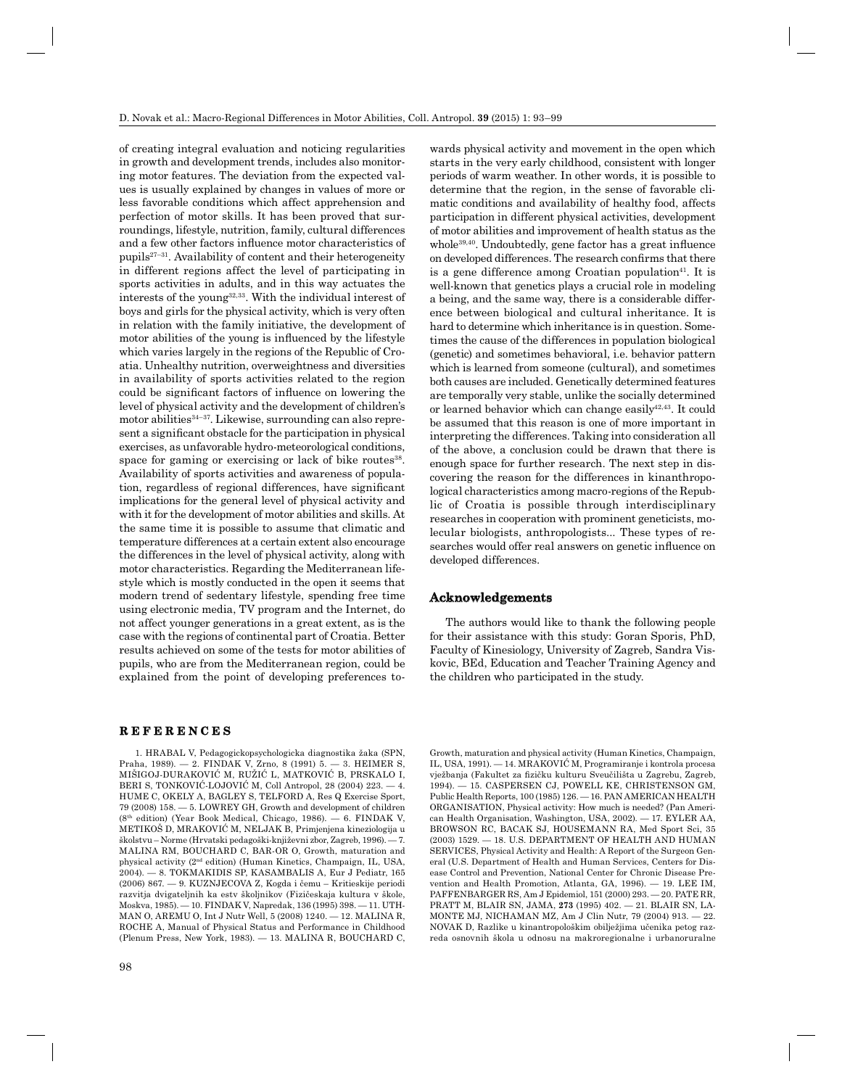of creating integral evaluation and noticing regularities in growth and development trends, includes also monitoring motor features. The deviation from the expected values is usually explained by changes in values of more or less favorable conditions which affect apprehension and perfection of motor skills. It has been proved that surroundings, lifestyle, nutrition, family, cultural differences and a few other factors influence motor characteristics of pupils $27-31$ . Availability of content and their heterogeneity in different regions affect the level of participating in sports activities in adults, and in this way actuates the interests of the young32,33. With the individual interest of boys and girls for the physical activity, which is very often in relation with the family initiative, the development of motor abilities of the young is influenced by the lifestyle which varies largely in the regions of the Republic of Croatia. Unhealthy nutrition, overweightness and diversities in availability of sports activities related to the region could be significant factors of influence on lowering the level of physical activity and the development of children's motor abilities<sup>34-37</sup>. Likewise, surrounding can also represent a significant obstacle for the participation in physical exercises, as unfavorable hydro-meteorological conditions, space for gaming or exercising or lack of bike routes<sup>38</sup>. Availability of sports activities and awareness of population, regardless of regional differences, have significant implications for the general level of physical activity and with it for the development of motor abilities and skills. At the same time it is possible to assume that climatic and temperature differences at a certain extent also encourage the differences in the level of physical activity, along with motor characteristics. Regarding the Mediterranean lifestyle which is mostly conducted in the open it seems that modern trend of sedentary lifestyle, spending free time using electronic media, TV program and the Internet, do not affect younger generations in a great extent, as is the case with the regions of continental part of Croatia. Better results achieved on some of the tests for motor abilities of pupils, who are from the Mediterranean region, could be explained from the point of developing preferences to-

#### **REFERENCES E F E R E N C E S**

1. HRABAL V, Pedagogickopsychologicka diagnostika žaka (SPN, Praha, 1989). — 2. FINDAK V, Zrno, 8 (1991) 5. — 3. HEIMER S, MIŠIGOJ-DURAKOVIĆ M, RUŽIĆ L, MATKOVIĆ B, PRSKALO I, BERI S, TONKOVIĆ-LOJOVIĆ M, Coll Antropol, 28 (2004) 223. — 4. HUME C, OKELY A, BAGLEY S, TELFORD A, Res Q Exercise Sport, 79 (2008) 158. — 5. LOWREY GH, Growth and development of children (8th edition) (Year Book Medical, Chicago, 1986). — 6. FINDAK V, METIKOŠ D, MRAKOVIĆ M, NELJAK B, Primjenjena kineziologija u školstvu – Norme (Hrvatski pedagoški-književni zbor, Zagreb, 1996). — 7. MALINA RM, BOUCHARD C, BAR-OR O, Growth, maturation and physical activity (2nd edition) (Human Kinetics, Champaign, IL, USA, 2004). — 8. TOKMAKIDIS SP, KASAMBALIS A, Eur J Pediatr, 165 (2006) 867. — 9. KUZNJECOVA Z, Kogda i čemu – Kritieskije periodi razvitja dvigateljnih ka estv školjnikov (Fizičeskaja kultura v škole, Moskva, 1985). — 10. FINDAK V, Napredak, 136 (1995) 398. — 11. UTH-MAN O, AREMU O, Int J Nutr Well, 5 (2008) 1240. — 12. MALINA R, ROCHE A, Manual of Physical Status and Performance in Childhood (Plenum Press, New York, 1983). — 13. MALINA R, BOUCHARD C,

wards physical activity and movement in the open which starts in the very early childhood, consistent with longer periods of warm weather. In other words, it is possible to determine that the region, in the sense of favorable climatic conditions and availability of healthy food, affects participation in different physical activities, development of motor abilities and improvement of health status as the whole<sup>39,40</sup>. Undoubtedly, gene factor has a great influence on developed differences. The research confirms that there is a gene difference among Croatian population<sup>41</sup>. It is well-known that genetics plays a crucial role in modeling a being, and the same way, there is a considerable difference between biological and cultural inheritance. It is hard to determine which inheritance is in question. Sometimes the cause of the differences in population biological (genetic) and sometimes behavioral, i.e. behavior pattern which is learned from someone (cultural), and sometimes both causes are included. Genetically determined features are temporally very stable, unlike the socially determined or learned behavior which can change easily $42,43$ . It could be assumed that this reason is one of more important in interpreting the differences. Taking into consideration all of the above, a conclusion could be drawn that there is enough space for further research. The next step in discovering the reason for the differences in kinanthropological characteristics among macro-regions of the Republic of Croatia is possible through interdisciplinary researches in cooperation with prominent geneticists, molecular biologists, anthropologists... These types of researches would offer real answers on genetic influence on developed differences.

## **Acknowledgements cknowledgements**

The authors would like to thank the following people for their assistance with this study: Goran Sporis, PhD, Faculty of Kinesiology, University of Zagreb, Sandra Viskovic, BEd, Education and Teacher Training Agency and the children who participated in the study.

Growth, maturation and physical activity (Human Kinetics, Champaign, IL, USA, 1991). — 14. MRAKOVIĆ M, Programiranje i kontrola procesa vježbanja (Fakultet za fizičku kulturu Sveučilišta u Zagrebu, Zagreb, 1994). — 15. CASPERSEN CJ, POWELL KE, CHRISTENSON GM, Public Health Reports, 100 (1985) 126. — 16. PAN AMERICAN HEALTH ORGANISATION, Physical activity: How much is needed? (Pan American Health Organisation, Washington, USA, 2002). — 17. EYLER AA, BROWSON RC, BACAK SJ, HOUSEMANN RA, Med Sport Sci, 35 (2003) 1529. — 18. U.S. DEPARTMENT OF HEALTH AND HUMAN SERVICES, Physical Activity and Health: A Report of the Surgeon General (U.S. Department of Health and Human Services, Centers for Disease Control and Prevention, National Center for Chronic Disease Prevention and Health Promotion, Atlanta, GA, 1996). — 19. LEE IM, PAFFENBARGER RS, Am J Epidemiol, 151 (2000) 293. — 20. PATE RR, PRATT M, BLAIR SN, JAMA, **273** (1995) 402. — 21. BLAIR SN, LA-MONTE MJ, NICHAMAN MZ, Am J Clin Nutr, 79 (2004) 913. — 22. NOVAK D, Razlike u kinantropološkim obilježjima učenika petog razreda osnovnih škola u odnosu na makroregionalne i urbanoruralne